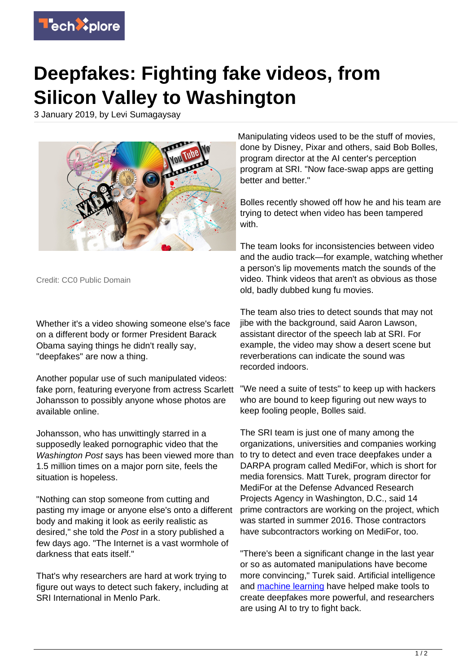

## **Deepfakes: Fighting fake videos, from Silicon Valley to Washington**

3 January 2019, by Levi Sumagaysay



Credit: CC0 Public Domain

Whether it's a video showing someone else's face on a different body or former President Barack Obama saying things he didn't really say, "deepfakes" are now a thing.

Another popular use of such manipulated videos: fake porn, featuring everyone from actress Scarlett Johansson to possibly anyone whose photos are available online.

Johansson, who has unwittingly starred in a supposedly leaked pornographic video that the Washington Post says has been viewed more than 1.5 million times on a major porn site, feels the situation is hopeless.

"Nothing can stop someone from cutting and pasting my image or anyone else's onto a different body and making it look as eerily realistic as desired," she told the Post in a story published a few days ago. "The Internet is a vast wormhole of darkness that eats itself."

That's why researchers are hard at work trying to figure out ways to detect such fakery, including at SRI International in Menlo Park.

Manipulating videos used to be the stuff of movies, done by Disney, Pixar and others, said Bob Bolles, program director at the AI center's perception program at SRI. "Now face-swap apps are getting better and better."

Bolles recently showed off how he and his team are trying to detect when video has been tampered with.

The team looks for inconsistencies between video and the audio track—for example, watching whether a person's lip movements match the sounds of the video. Think videos that aren't as obvious as those old, badly dubbed kung fu movies.

The team also tries to detect sounds that may not jibe with the background, said Aaron Lawson, assistant director of the speech lab at SRI. For example, the video may show a desert scene but reverberations can indicate the sound was recorded indoors.

"We need a suite of tests" to keep up with hackers who are bound to keep figuring out new ways to keep fooling people, Bolles said.

The SRI team is just one of many among the organizations, universities and companies working to try to detect and even trace deepfakes under a DARPA program called MediFor, which is short for media forensics. Matt Turek, program director for MediFor at the Defense Advanced Research Projects Agency in Washington, D.C., said 14 prime contractors are working on the project, which was started in summer 2016. Those contractors have subcontractors working on MediFor, too.

"There's been a significant change in the last year or so as automated manipulations have become more convincing," Turek said. Artificial intelligence and [machine learning](https://techxplore.com/tags/machine+learning/) have helped make tools to create deepfakes more powerful, and researchers are using AI to try to fight back.